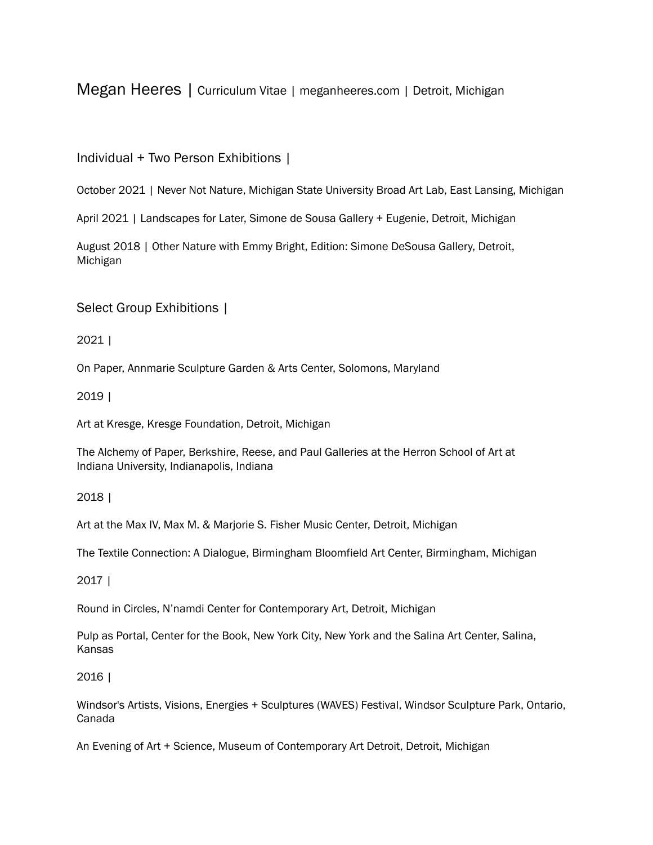Megan Heeres | Curriculum Vitae | meganheeres.com | Detroit, Michigan

# Individual + Two Person Exhibitions |

October 2021 | Never Not Nature, Michigan State University Broad Art Lab, East Lansing, Michigan

April 2021 | Landscapes for Later, Simone de Sousa Gallery + Eugenie, Detroit, Michigan

August 2018 | Other Nature with Emmy Bright, Edition: Simone DeSousa Gallery, Detroit, Michigan

Select Group Exhibitions |

2021 |

On Paper, Annmarie Sculpture Garden & Arts Center, Solomons, Maryland

2019 |

Art at Kresge, Kresge Foundation, Detroit, Michigan

The Alchemy of Paper, Berkshire, Reese, and Paul Galleries at the Herron School of Art at Indiana University, Indianapolis, Indiana

## 2018 |

Art at the Max IV, Max M. & Marjorie S. Fisher Music Center, Detroit, Michigan

The Textile Connection: A Dialogue, Birmingham Bloomfield Art Center, Birmingham, Michigan

2017 |

Round in Circles, N'namdi Center for Contemporary Art, Detroit, Michigan

Pulp as Portal, Center for the Book, New York City, New York and the Salina Art Center, Salina, Kansas

## 2016 |

Windsor's Artists, Visions, Energies + Sculptures (WAVES) Festival, Windsor Sculpture Park, Ontario, Canada

An Evening of Art + Science, Museum of Contemporary Art Detroit, Detroit, Michigan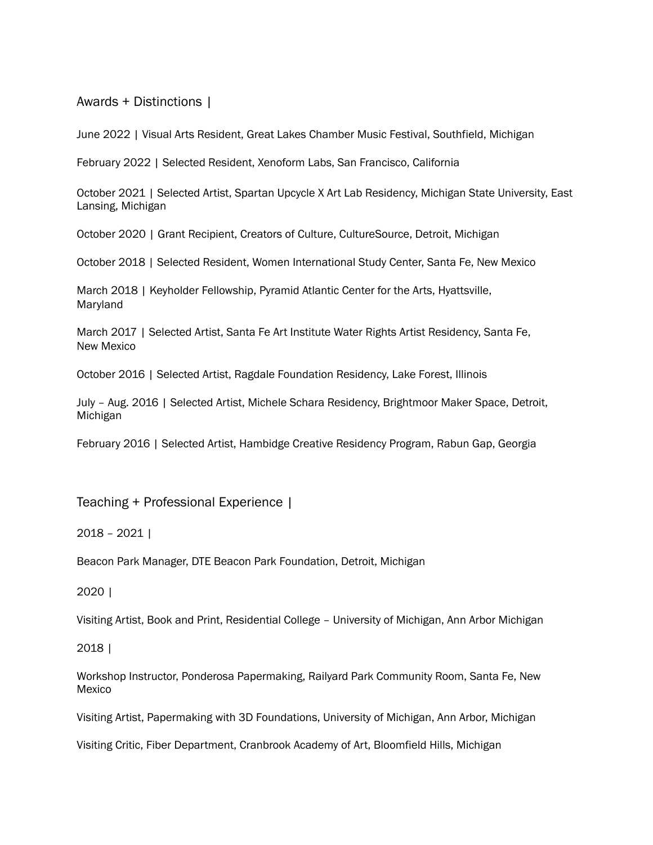Awards + Distinctions |

June 2022 | Visual Arts Resident, Great Lakes Chamber Music Festival, Southfield, Michigan

February 2022 | Selected Resident, Xenoform Labs, San Francisco, California

October 2021 | Selected Artist, Spartan Upcycle X Art Lab Residency, Michigan State University, East Lansing, Michigan

October 2020 | Grant Recipient, Creators of Culture, CultureSource, Detroit, Michigan

October 2018 | Selected Resident, Women International Study Center, Santa Fe, New Mexico

March 2018 | Keyholder Fellowship, Pyramid Atlantic Center for the Arts, Hyattsville, Maryland

March 2017 | Selected Artist, Santa Fe Art Institute Water Rights Artist Residency, Santa Fe, New Mexico

October 2016 | Selected Artist, Ragdale Foundation Residency, Lake Forest, Illinois

July – Aug. 2016 | Selected Artist, Michele Schara Residency, Brightmoor Maker Space, Detroit, Michigan

February 2016 | Selected Artist, Hambidge Creative Residency Program, Rabun Gap, Georgia

Teaching + Professional Experience |

2018 – 2021 |

Beacon Park Manager, DTE Beacon Park Foundation, Detroit, Michigan

2020 |

Visiting Artist, Book and Print, Residential College – University of Michigan, Ann Arbor Michigan

2018 |

Workshop Instructor, Ponderosa Papermaking, Railyard Park Community Room, Santa Fe, New Mexico

Visiting Artist, Papermaking with 3D Foundations, University of Michigan, Ann Arbor, Michigan

Visiting Critic, Fiber Department, Cranbrook Academy of Art, Bloomfield Hills, Michigan